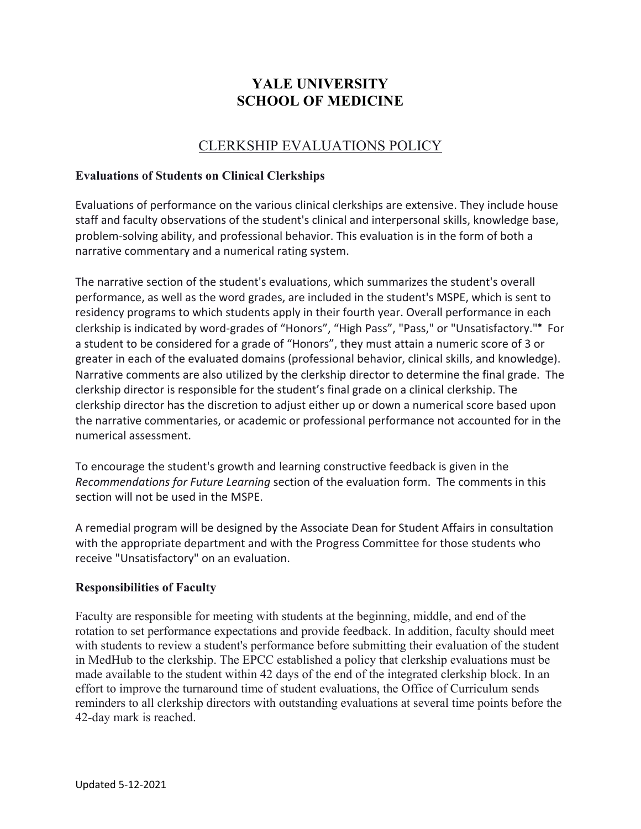# **YALE UNIVERSITY SCHOOL OF MEDICINE**

## CLERKSHIP EVALUATIONS POLICY

## **Evaluations of Students on Clinical Clerkships**

Evaluations of performance on the various clinical clerkships are extensive. They include house staff and faculty observations of the student's clinical and interpersonal skills, knowledge base, problem-solving ability, and professional behavior. This evaluation is in the form of both a narrative commentary and a numerical rating system.

The narrative section of the student's evaluations, which summarizes the student's overall performance, as well as the word grades, are included in the student's MSPE, which is sent to residency programs to which students apply in their fourth year. Overall performance in each clerkship is indicated by word-grades of "Honors", "High Pass", "Pass," or "Unsatisfactory."\* For a student to be considered for a grade of "Honors", they must attain a numeric score of 3 or greater in each of the evaluated domains (professional behavior, clinical skills, and knowledge). Narrative comments are also utilized by the clerkship director to determine the final grade. The clerkship director is responsible for the student's final grade on a clinical clerkship. The clerkship director has the discretion to adjust either up or down a numerical score based upon the narrative commentaries, or academic or professional performance not accounted for in the numerical assessment.

To encourage the student's growth and learning constructive feedback is given in the *Recommendations for Future Learning* section of the evaluation form. The comments in this section will not be used in the MSPE.

A remedial program will be designed by the Associate Dean for Student Affairs in consultation with the appropriate department and with the Progress Committee for those students who receive "Unsatisfactory" on an evaluation.

#### **Responsibilities of Faculty**

Faculty are responsible for meeting with students at the beginning, middle, and end of the rotation to set performance expectations and provide feedback. In addition, faculty should meet with students to review a student's performance before submitting their evaluation of the student in MedHub to the clerkship. The EPCC established a policy that clerkship evaluations must be made available to the student within 42 days of the end of the integrated clerkship block. In an effort to improve the turnaround time of student evaluations, the Office of Curriculum sends reminders to all clerkship directors with outstanding evaluations at several time points before the 42-day mark is reached.